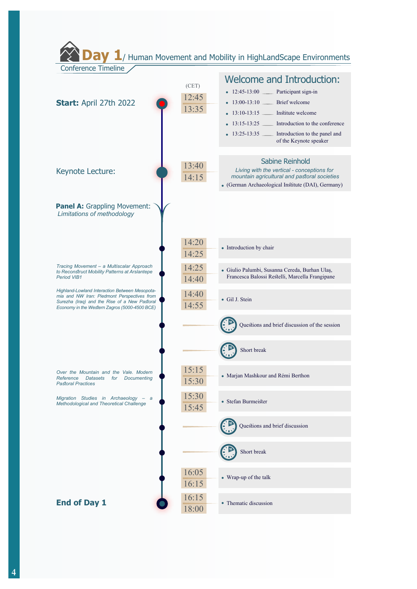1/ Human Movement and Mobility in HighLandScape Environments **Conference Timeline Welcome and Introduction:**  $(CET)$  $\cdot$  12:45-13:00  $\pm$ Participant sign-in 12:45 Start: April 27th 2022 • 13:00-13:10 Brief welcome 13:35 • 13:10-13:15  $-$ Institute welcome  $\bullet$  13:15-13:25  $\phantom{0}$ Introduction to the conference •  $13:25-13:35$ Introduction to the panel and of the Keynote speaker Sabine Reinhold  $13:40$ Living with the vertical - conceptions for Keynote Lecture: mountain agricultural and pastoral societies  $14:15$ • (German Archaeological Institute (DAI), Germany) Panel A: Grappling Movement: Limitations of methodology  $14:20$ • Introduction by chair 14:25 Tracing Movement - a Multiscalar Approach<br>to Reconstruct Mobility Patterns at Arslantepe  $14:25$ · Giulio Palumbi, Susanna Cereda, Burhan Ulaș, Francesca Balossi Restelli, Marcella Frangipane Period VIB1 14:40 Highland-Lowland Interaction Between Mesopota-14:40 mia and NW Iran: Piedmont Perspectives from · Gil J. Stein Surezha (Iraq) and the Rise of a New Pastoral 14:55 Economy in the Western Zagros (5000-4500 BCE) Questions and brief discussion of the session Short break  $15:15$ Over the Mountain and the Vale. Modern · Marjan Mashkour and Rémi Berthon Reference Datasets for Documenting  $15:30$ **Pastoral Practices**  $15:30$ Migration Studies in Archaeology - a  $\bullet$  Stefan Rurmeister Methodological and Theoretical Challenge 15:45 Questions and brief discussion Short break  $16:05$ • Wrap-up of the talk 16:15 16:15 **End of Day 1** • Thematic discussion 18:00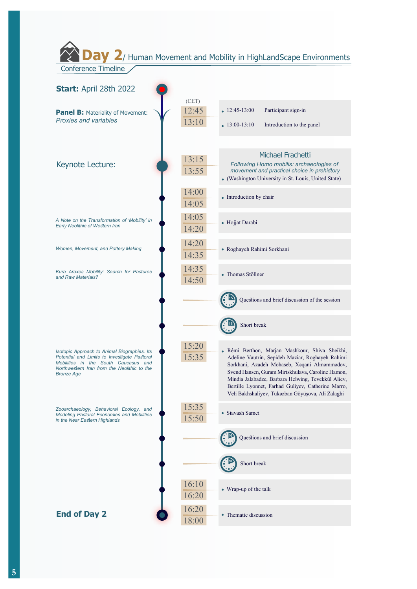